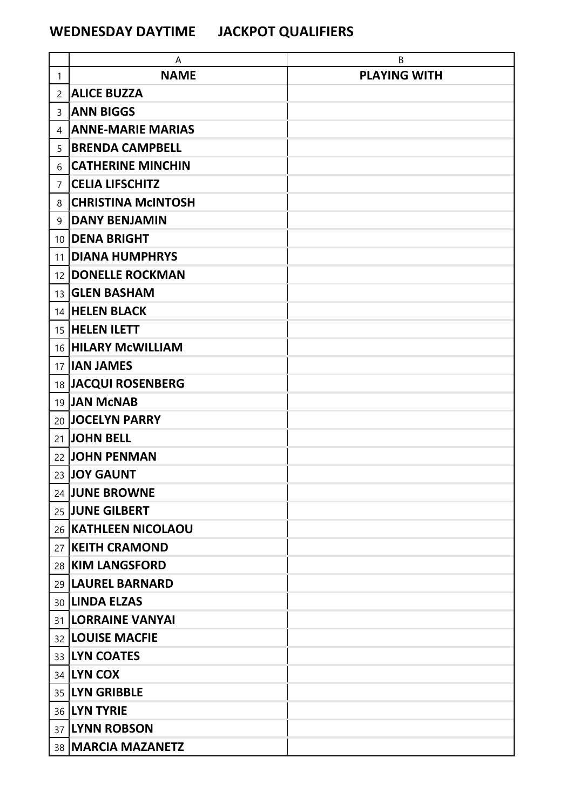## **WEDNESDAY DAYTIME JACKPOT QUALIFIERS**

|                | A                         | B                   |
|----------------|---------------------------|---------------------|
| $\mathbf{1}$   | <b>NAME</b>               | <b>PLAYING WITH</b> |
| $\overline{2}$ | <b>ALICE BUZZA</b>        |                     |
| 3              | <b>ANN BIGGS</b>          |                     |
| 4              | <b>ANNE-MARIE MARIAS</b>  |                     |
| 5              | <b>BRENDA CAMPBELL</b>    |                     |
| 6              | <b>CATHERINE MINCHIN</b>  |                     |
| 7              | <b>CELIA LIFSCHITZ</b>    |                     |
| 8              | <b>CHRISTINA MCINTOSH</b> |                     |
| 9              | <b>DANY BENJAMIN</b>      |                     |
|                | 10 <b>DENA BRIGHT</b>     |                     |
| 11             | <b>DIANA HUMPHRYS</b>     |                     |
| 12             | <b>DONELLE ROCKMAN</b>    |                     |
|                | 13 <b>GLEN BASHAM</b>     |                     |
|                | 14 HELEN BLACK            |                     |
|                | 15 HELEN ILETT            |                     |
|                | 16 HILARY McWILLIAM       |                     |
|                | 17 <b>IAN JAMES</b>       |                     |
|                | 18 JACQUI ROSENBERG       |                     |
|                | 19 JAN McNAB              |                     |
|                | 20 JOCELYN PARRY          |                     |
|                | 21 JOHN BELL              |                     |
|                | 22 JOHN PENMAN            |                     |
|                | 23 JOY GAUNT              |                     |
|                | 24 JUNE BROWNE            |                     |
|                | 25 JUNE GILBERT           |                     |
|                | 26 KATHLEEN NICOLAOU      |                     |
|                | 27 KEITH CRAMOND          |                     |
|                | 28 KIM LANGSFORD          |                     |
|                | 29   LAUREL BARNARD       |                     |
|                | 30 LINDA ELZAS            |                     |
|                | 31  LORRAINE VANYAI       |                     |
|                | 32  LOUISE MACFIE         |                     |
|                | 33 LYN COATES             |                     |
|                | 34 LYN COX                |                     |
|                | 35 LYN GRIBBLE            |                     |
|                | 36 LYN TYRIE              |                     |
|                | 37 LYNN ROBSON            |                     |
|                | 38 MARCIA MAZANETZ        |                     |